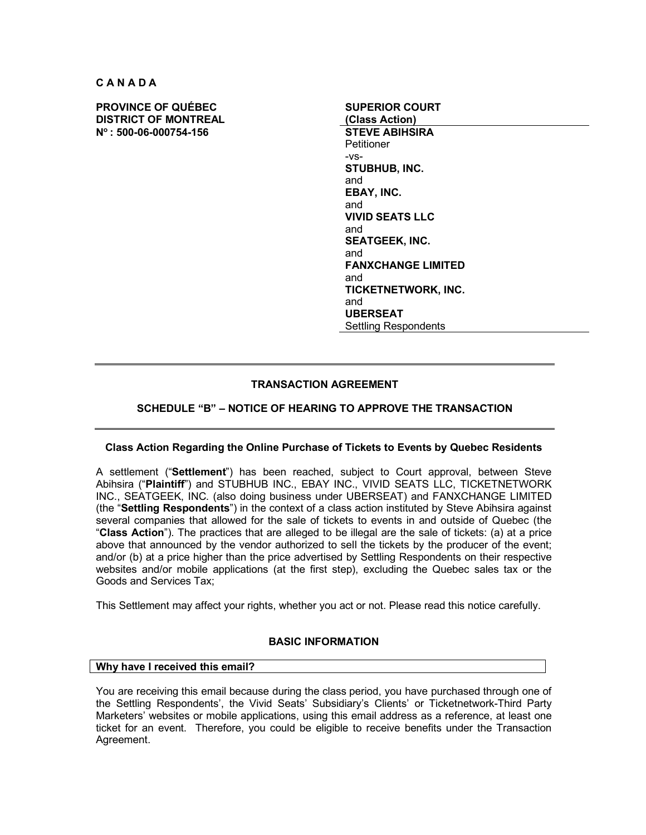**C A N A D A**

**PROVINCE OF QUÉBEC DISTRICT OF MONTREAL No : 500-06-000754-156 STEVE ABIHSIRA**

**SUPERIOR COURT (Class Action) Petitioner** -vs-**STUBHUB, INC.** and **EBAY, INC.** and **VIVID SEATS LLC** and **SEATGEEK, INC.** and **FANXCHANGE LIMITED** and **TICKETNETWORK, INC.** and **UBERSEAT** Settling Respondents

# **TRANSACTION AGREEMENT**

# **SCHEDULE "B" – NOTICE OF HEARING TO APPROVE THE TRANSACTION**

# **Class Action Regarding the Online Purchase of Tickets to Events by Quebec Residents**

A settlement ("**Settlement**") has been reached, subject to Court approval, between Steve Abihsira ("**Plaintiff**") and STUBHUB INC., EBAY INC., VIVID SEATS LLC, TICKETNETWORK INC., SEATGEEK, INC. (also doing business under UBERSEAT) and FANXCHANGE LIMITED (the "**Settling Respondents**") in the context of a class action instituted by Steve Abihsira against several companies that allowed for the sale of tickets to events in and outside of Quebec (the "**Class Action**"). The practices that are alleged to be illegal are the sale of tickets: (a) at a price above that announced by the vendor authorized to sell the tickets by the producer of the event; and/or (b) at a price higher than the price advertised by Settling Respondents on their respective websites and/or mobile applications (at the first step), excluding the Quebec sales tax or the Goods and Services Tax;

This Settlement may affect your rights, whether you act or not. Please read this notice carefully.

# **BASIC INFORMATION**

### **Why have I received this email?**

You are receiving this email because during the class period, you have purchased through one of the Settling Respondents', the Vivid Seats' Subsidiary's Clients' or Ticketnetwork-Third Party Marketers' websites or mobile applications, using this email address as a reference, at least one ticket for an event. Therefore, you could be eligible to receive benefits under the Transaction Agreement.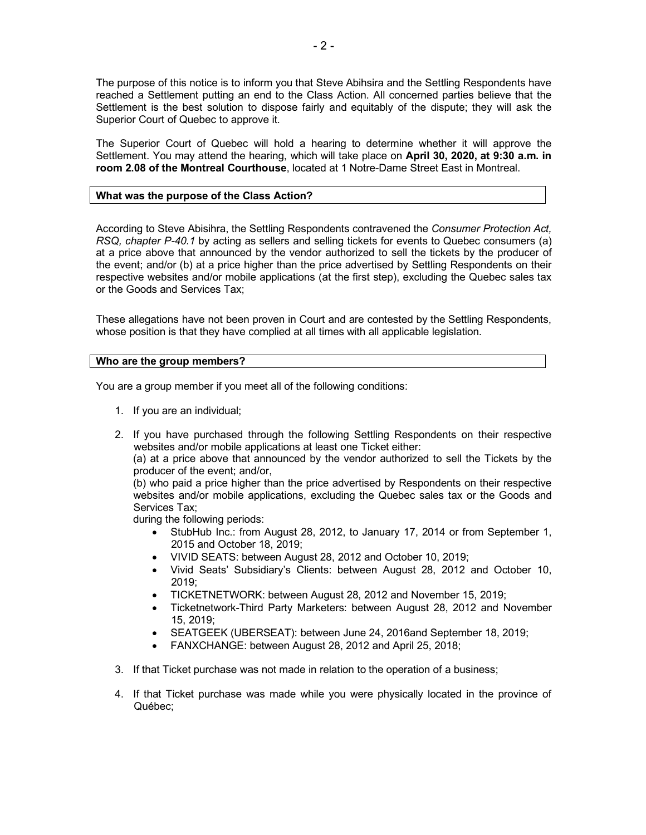The purpose of this notice is to inform you that Steve Abihsira and the Settling Respondents have reached a Settlement putting an end to the Class Action. All concerned parties believe that the Settlement is the best solution to dispose fairly and equitably of the dispute; they will ask the Superior Court of Quebec to approve it.

The Superior Court of Quebec will hold a hearing to determine whether it will approve the Settlement. You may attend the hearing, which will take place on **April 30, 2020, at 9:30 a.m. in room 2.08 of the Montreal Courthouse**, located at 1 Notre-Dame Street East in Montreal.

### **What was the purpose of the Class Action?**

According to Steve Abisihra, the Settling Respondents contravened the *Consumer Protection Act, RSQ, chapter P-40.1* by acting as sellers and selling tickets for events to Quebec consumers (a) at a price above that announced by the vendor authorized to sell the tickets by the producer of the event; and/or (b) at a price higher than the price advertised by Settling Respondents on their respective websites and/or mobile applications (at the first step), excluding the Quebec sales tax or the Goods and Services Tax;

These allegations have not been proven in Court and are contested by the Settling Respondents, whose position is that they have complied at all times with all applicable legislation.

### **Who are the group members?**

You are a group member if you meet all of the following conditions:

- 1. If you are an individual;
- 2. If you have purchased through the following Settling Respondents on their respective websites and/or mobile applications at least one Ticket either:

(a) at a price above that announced by the vendor authorized to sell the Tickets by the producer of the event; and/or,

(b) who paid a price higher than the price advertised by Respondents on their respective websites and/or mobile applications, excluding the Quebec sales tax or the Goods and Services Tax;

during the following periods:

- StubHub Inc.: from August 28, 2012, to January 17, 2014 or from September 1, 2015 and October 18, 2019;
- VIVID SEATS: between August 28, 2012 and October 10, 2019;
- Vivid Seats' Subsidiary's Clients: between August 28, 2012 and October 10, 2019;
- TICKETNETWORK: between August 28, 2012 and November 15, 2019;
- Ticketnetwork-Third Party Marketers: between August 28, 2012 and November 15, 2019;
- SEATGEEK (UBERSEAT): between June 24, 2016and September 18, 2019;
- FANXCHANGE: between August 28, 2012 and April 25, 2018;
- 3. If that Ticket purchase was not made in relation to the operation of a business;
- 4. If that Ticket purchase was made while you were physically located in the province of Québec;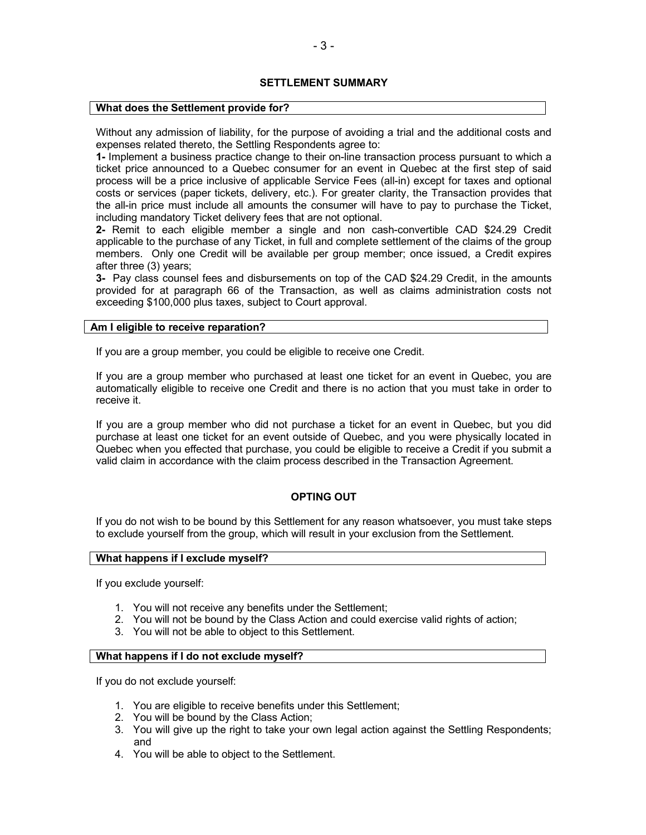# **SETTLEMENT SUMMARY**

### **What does the Settlement provide for?**

Without any admission of liability, for the purpose of avoiding a trial and the additional costs and expenses related thereto, the Settling Respondents agree to:

**1-** Implement a business practice change to their on-line transaction process pursuant to which a ticket price announced to a Quebec consumer for an event in Quebec at the first step of said process will be a price inclusive of applicable Service Fees (all-in) except for taxes and optional costs or services (paper tickets, delivery, etc.). For greater clarity, the Transaction provides that the all-in price must include all amounts the consumer will have to pay to purchase the Ticket, including mandatory Ticket delivery fees that are not optional.

**2-** Remit to each eligible member a single and non cash-convertible CAD \$24.29 Credit applicable to the purchase of any Ticket, in full and complete settlement of the claims of the group members. Only one Credit will be available per group member; once issued, a Credit expires after three (3) years;

**3-** Pay class counsel fees and disbursements on top of the CAD \$24.29 Credit, in the amounts provided for at paragraph 66 of the Transaction, as well as claims administration costs not exceeding \$100,000 plus taxes, subject to Court approval.

### **Am I eligible to receive reparation?**

If you are a group member, you could be eligible to receive one Credit.

If you are a group member who purchased at least one ticket for an event in Quebec, you are automatically eligible to receive one Credit and there is no action that you must take in order to receive it.

If you are a group member who did not purchase a ticket for an event in Quebec, but you did purchase at least one ticket for an event outside of Quebec, and you were physically located in Quebec when you effected that purchase, you could be eligible to receive a Credit if you submit a valid claim in accordance with the claim process described in the Transaction Agreement.

# **OPTING OUT**

If you do not wish to be bound by this Settlement for any reason whatsoever, you must take steps to exclude yourself from the group, which will result in your exclusion from the Settlement.

#### **What happens if I exclude myself?**

If you exclude yourself:

- 1. You will not receive any benefits under the Settlement;
- 2. You will not be bound by the Class Action and could exercise valid rights of action;
- 3. You will not be able to object to this Settlement.

# **What happens if I do not exclude myself?**

If you do not exclude yourself:

- 1. You are eligible to receive benefits under this Settlement;
- 2. You will be bound by the Class Action;
- 3. You will give up the right to take your own legal action against the Settling Respondents; and
- 4. You will be able to object to the Settlement.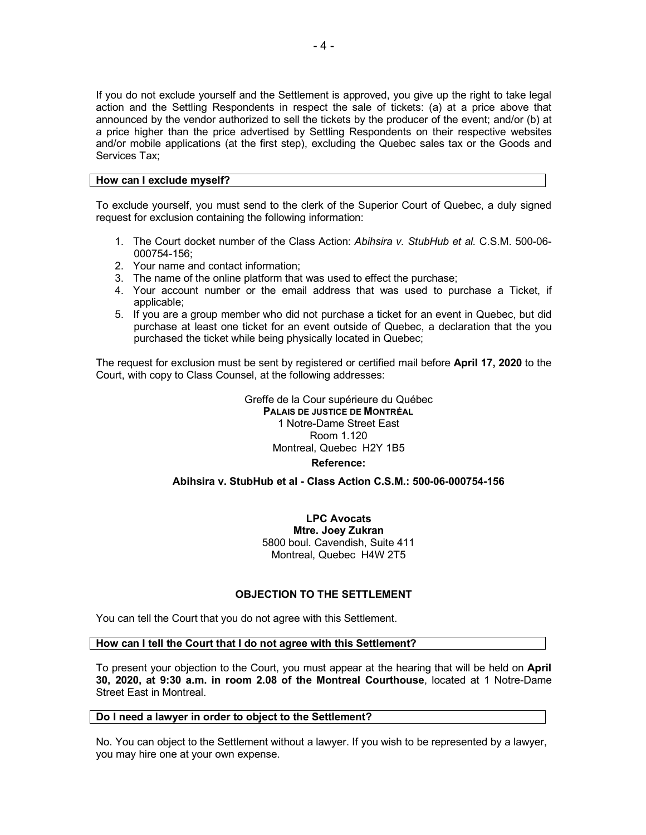If you do not exclude yourself and the Settlement is approved, you give up the right to take legal action and the Settling Respondents in respect the sale of tickets: (a) at a price above that announced by the vendor authorized to sell the tickets by the producer of the event; and/or (b) at a price higher than the price advertised by Settling Respondents on their respective websites and/or mobile applications (at the first step), excluding the Quebec sales tax or the Goods and Services Tax;

### **How can I exclude myself?**

To exclude yourself, you must send to the clerk of the Superior Court of Quebec, a duly signed request for exclusion containing the following information:

- 1. The Court docket number of the Class Action: *Abihsira v. StubHub et al.* C.S.M. 500-06- 000754-156;
- 2. Your name and contact information;
- 3. The name of the online platform that was used to effect the purchase;
- 4. Your account number or the email address that was used to purchase a Ticket, if applicable;
- 5. If you are a group member who did not purchase a ticket for an event in Quebec, but did purchase at least one ticket for an event outside of Quebec, a declaration that the you purchased the ticket while being physically located in Quebec;

The request for exclusion must be sent by registered or certified mail before **April 17, 2020** to the Court, with copy to Class Counsel, at the following addresses:

> Greffe de la Cour supérieure du Québec **PALAIS DE JUSTICE DE MONTRÉAL** 1 Notre-Dame Street East Room 1.120 Montreal, Quebec H2Y 1B5 **Reference:**

# **Abihsira v. StubHub et al - Class Action C.S.M.: 500-06-000754-156**

**LPC Avocats Mtre. Joey Zukran** 5800 boul. Cavendish, Suite 411 Montreal, Quebec H4W 2T5

# **OBJECTION TO THE SETTLEMENT**

You can tell the Court that you do not agree with this Settlement.

# **How can I tell the Court that I do not agree with this Settlement?**

To present your objection to the Court, you must appear at the hearing that will be held on **April 30, 2020, at 9:30 a.m. in room 2.08 of the Montreal Courthouse**, located at 1 Notre-Dame Street East in Montreal.

# **Do I need a lawyer in order to object to the Settlement?**

No. You can object to the Settlement without a lawyer. If you wish to be represented by a lawyer, you may hire one at your own expense.